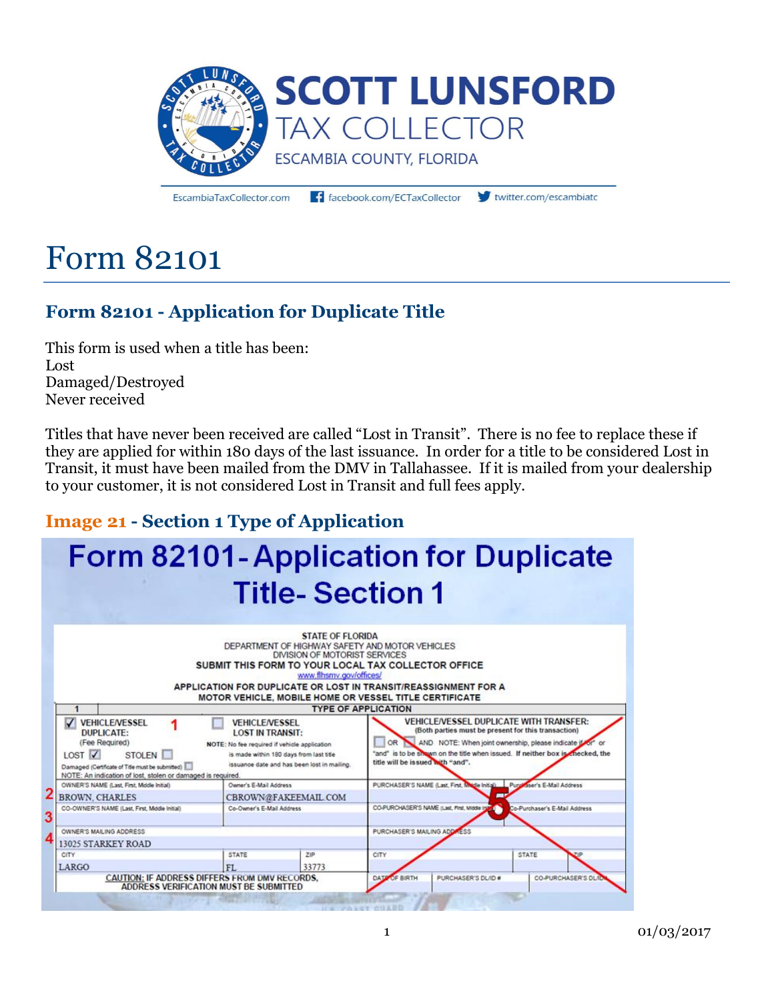

EscambiaTaxCollector.com

facebook.com/ECTaxCollector

twitter.com/escambiato

# Form 82101

## **Form 82101 - Application for Duplicate Title**

This form is used when a title has been: Lost Damaged/Destroyed Never received

Titles that have never been received are called "Lost in Transit". There is no fee to replace these if they are applied for within 180 days of the last issuance. In order for a title to be considered Lost in Transit, it must have been mailed from the DMV in Tallahassee. If it is mailed from your dealership to your customer, it is not considered Lost in Transit and full fees apply.

## **Image 21 - Section 1 Type of Application**

# **Form 82101-Application for Duplicate Title-Section 1**

|                                                                                                                                                                                                        |                                                                                          | STATE OF FLORIDA<br>DIVISION OF MOTORIST SERVICES<br>www.flhsmv.gov/offices/           | DEPARTMENT OF HIGHWAY SAFETY AND MOTOR VEHICLES<br>SUBMIT THIS FORM TO YOUR LOCAL TAX COLLECTOR OFFICE<br>APPLICATION FOR DUPLICATE OR LOST IN TRANSIT/REASSIGNMENT FOR A<br>MOTOR VEHICLE, MOBILE HOME OR VESSEL TITLE CERTIFICATE |                                                                                                                                                                                                                                                  |  |  |
|--------------------------------------------------------------------------------------------------------------------------------------------------------------------------------------------------------|------------------------------------------------------------------------------------------|----------------------------------------------------------------------------------------|-------------------------------------------------------------------------------------------------------------------------------------------------------------------------------------------------------------------------------------|--------------------------------------------------------------------------------------------------------------------------------------------------------------------------------------------------------------------------------------------------|--|--|
|                                                                                                                                                                                                        |                                                                                          |                                                                                        | <b>TYPE OF APPLICATION</b>                                                                                                                                                                                                          |                                                                                                                                                                                                                                                  |  |  |
| VEHICLENESSEL<br><b>DUPLICATE:</b><br>(Fee Required)<br>STOLEN <sub>I</sub><br>LOST<br>Damaged (Certificate of Title must be submitted)<br>NOTE: An indication of lost, stolen or damaged is required. | VEHICLENESSEL<br><b>LOST IN TRANSIT:</b><br>NOTE: No fee required if vehicle application | is made within 180 days from last title<br>issuance date and has been lost in mailing. | OR <sup></sup><br>title will be issued with "and".                                                                                                                                                                                  | <b>VEHICLE/VESSEL DUPLICATE WITH TRANSFER:</b><br>(Both parties must be present for this transaction)<br>AND NOTE: When joint ownership, please indicate if for<br>"and" is to be shown on the title when issued. If neither box is checked, the |  |  |
| OWNER'S NAME (Last, First, Modle Initial)                                                                                                                                                              | Owner's E-Mail Address                                                                   |                                                                                        | Purplaser's E-Mail Address<br>PURCHASER'S NAME (Last, First, Made Initial)                                                                                                                                                          |                                                                                                                                                                                                                                                  |  |  |
| <b>BROWN CHARLES</b>                                                                                                                                                                                   |                                                                                          | CBROWN@FAKEEMAIL.COM                                                                   |                                                                                                                                                                                                                                     |                                                                                                                                                                                                                                                  |  |  |
| CO-OWNER'S NAME (Last, First, Middle Initial)                                                                                                                                                          | Co-Owner's E-Mail Address                                                                |                                                                                        | CO-PURCHASER'S NAME (Last, First, Middle Inter)<br>Co-Purchaser's E-Mail Address                                                                                                                                                    |                                                                                                                                                                                                                                                  |  |  |
| OWNER'S MAILING ADDRESS                                                                                                                                                                                |                                                                                          |                                                                                        | PURCHASER'S MAILING ADDRESS                                                                                                                                                                                                         |                                                                                                                                                                                                                                                  |  |  |
| <b>13025 STARKEY ROAD</b>                                                                                                                                                                              |                                                                                          |                                                                                        |                                                                                                                                                                                                                                     |                                                                                                                                                                                                                                                  |  |  |
| CITY                                                                                                                                                                                                   | STATE                                                                                    | 2IP                                                                                    | CITY                                                                                                                                                                                                                                | STATE<br>פול                                                                                                                                                                                                                                     |  |  |
| LARGO                                                                                                                                                                                                  | FL.                                                                                      | 33773                                                                                  |                                                                                                                                                                                                                                     |                                                                                                                                                                                                                                                  |  |  |
| <b>CAUTION: IF ADDRESS DIFFERS FROM DMV RECORDS.</b><br>ADDRESS VERIFICATION MUST BE SUBMITTED                                                                                                         |                                                                                          |                                                                                        | DATE OF BIRTH                                                                                                                                                                                                                       | CO-PURCHASER'S DLA<br>PURCHASER'S DL/ID #                                                                                                                                                                                                        |  |  |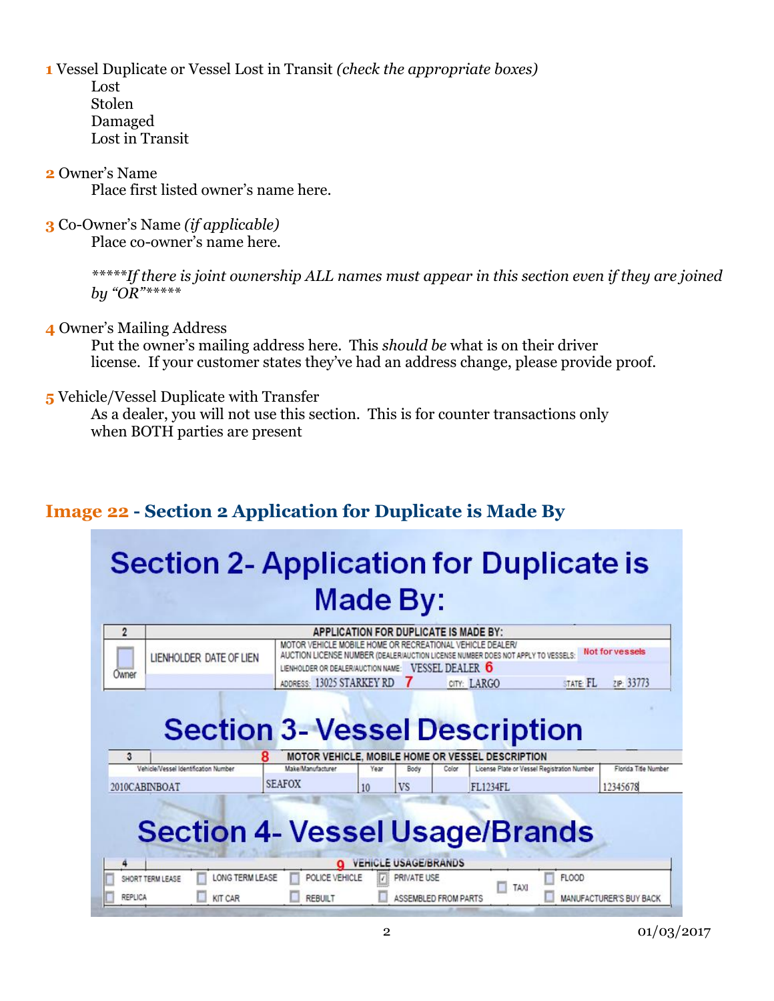**1** Vessel Duplicate or Vessel Lost in Transit *(check the appropriate boxes)*  Lost Stolen Damaged Lost in Transit

**2** Owner's Name

Place first listed owner's name here.

**3** Co-Owner's Name *(if applicable)*

Place co-owner's name here.

*\*\*\*\*\*If there is joint ownership ALL names must appear in this section even if they are joined by "OR"\*\*\*\*\**

**4** Owner's Mailing Address

Put the owner's mailing address here. This *should be* what is on their driver license. If your customer states they've had an address change, please provide proof.

#### **5** Vehicle/Vessel Duplicate with Transfer

As a dealer, you will not use this section. This is for counter transactions only when BOTH parties are present

### **Image 22 - Section 2 Application for Duplicate is Made By**

|                  |                                                                 |                                                                                                                                                                                                     |      |                                            |                                       | <b>Section 2- Application for Duplicate is</b> |                        |
|------------------|-----------------------------------------------------------------|-----------------------------------------------------------------------------------------------------------------------------------------------------------------------------------------------------|------|--------------------------------------------|---------------------------------------|------------------------------------------------|------------------------|
|                  |                                                                 |                                                                                                                                                                                                     |      | Made By:                                   |                                       |                                                |                        |
| 2                |                                                                 |                                                                                                                                                                                                     |      |                                            | APPLICATION FOR DUPLICATE IS MADE BY: |                                                |                        |
| Owner            | LIENHOLDER DATE OF LIEN                                         | MOTOR VEHICLE MOBILE HOME OR RECREATIONAL VEHICLE DEALER/<br>AUCTION LICENSE NUMBER (DEALER/AUCTION LICENSE NUMBER DOES NOT APPLY TO VESSELS:<br>LIENHOLDER OR DEALER/AUCTION NAME: VESSEL DEALER 6 |      |                                            |                                       |                                                | <b>Not for yessels</b> |
|                  |                                                                 | ADDRESS: 13025 STARKEY RD                                                                                                                                                                           |      |                                            | CITY: LARGO                           | STATE: FL                                      | zip: 33773             |
| 3                | 8<br>Vehicle/Vessel Identification Number                       | MOTOR VEHICLE, MOBILE HOME OR VESSEL DESCRIPTION<br>Make/Manufacturer                                                                                                                               | Year | Body                                       | Color                                 | License Plate or Vessel Registration Number    | Florida Title Number   |
| 2010CABINBOAT    |                                                                 | <b>SEAFOX</b>                                                                                                                                                                                       | 10   | <b>VS</b>                                  | <b>FL1234FL</b>                       |                                                | 12345678               |
|                  |                                                                 |                                                                                                                                                                                                     |      |                                            |                                       |                                                |                        |
| SHORT TERM LEASE | <b>Section 4- Vessel Usage/Brands</b><br><b>LONG TERM LEASE</b> | POLICE VEHICLE                                                                                                                                                                                      |      | <b>VEHICLE USAGE/BRANDS</b><br>PRIVATE USE |                                       | <b>FLOOD</b>                                   |                        |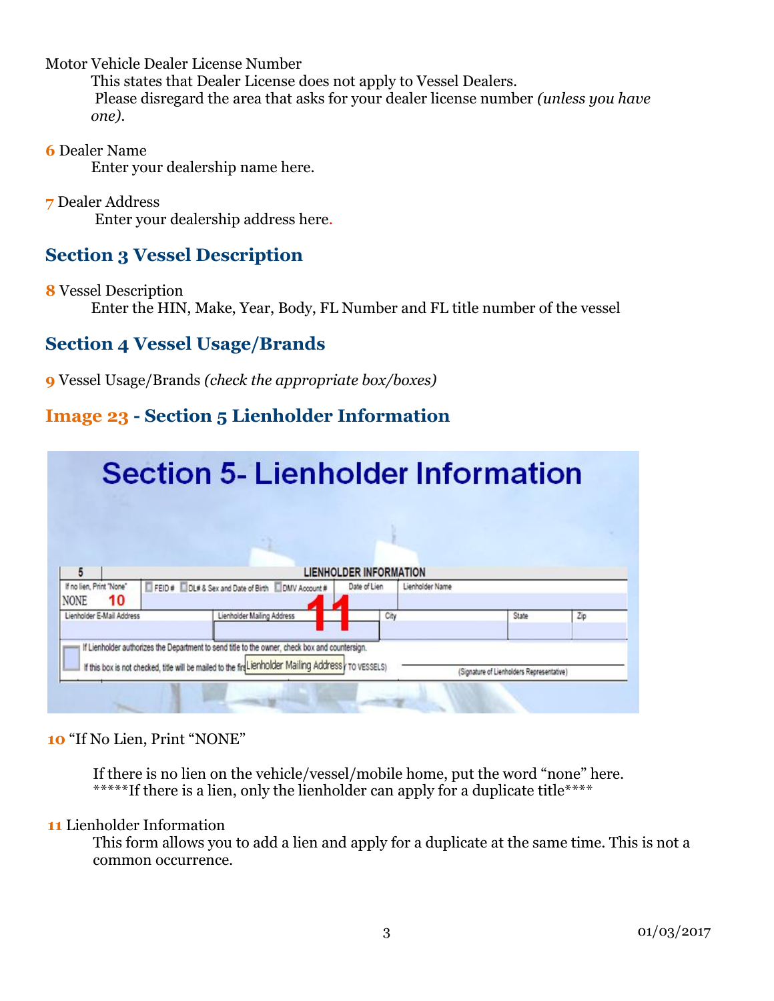Motor Vehicle Dealer License Number

This states that Dealer License does not apply to Vessel Dealers. Please disregard the area that asks for your dealer license number *(unless you have one)*.

**6** Dealer Name Enter your dealership name here.

**7** Dealer Address Enter your dealership address here.

## **Section 3 Vessel Description**

**8** Vessel Description Enter the HIN, Make, Year, Body, FL Number and FL title number of the vessel

### **Section 4 Vessel Usage/Brands**

**9** Vessel Usage/Brands *(check the appropriate box/boxes)* 

## **Image 23 - Section 5 Lienholder Information**

| 5                         |                                                                                                     | <b>LIENHOLDER INFORMATION</b>   |                                           |     |
|---------------------------|-----------------------------------------------------------------------------------------------------|---------------------------------|-------------------------------------------|-----|
| If no lien, Print "None"  | FEID # DL# & Sex and Date of Birth DMV Account #                                                    | Lienholder Name<br>Date of Lien |                                           |     |
| 10<br><b>NONE</b>         |                                                                                                     |                                 |                                           |     |
|                           |                                                                                                     | City                            | State                                     | Zip |
|                           | Lienholder Mailing Address                                                                          |                                 |                                           |     |
|                           |                                                                                                     |                                 |                                           |     |
|                           | If Lienholder authorizes the Department to send title to the owner, check box and countersign.      |                                 |                                           |     |
| Lienholder E-Mail Address | If this box is not checked, title will be mailed to the first lenholder Mailing Address ro vesseus) |                                 | (Signature of Lienholders Representative) |     |

**10** "If No Lien, Print "NONE"

If there is no lien on the vehicle/vessel/mobile home, put the word "none" here. \*\*\*\*\*If there is a lien, only the lienholder can apply for a duplicate title\*\*\*\*

#### **11** Lienholder Information

This form allows you to add a lien and apply for a duplicate at the same time. This is not a common occurrence.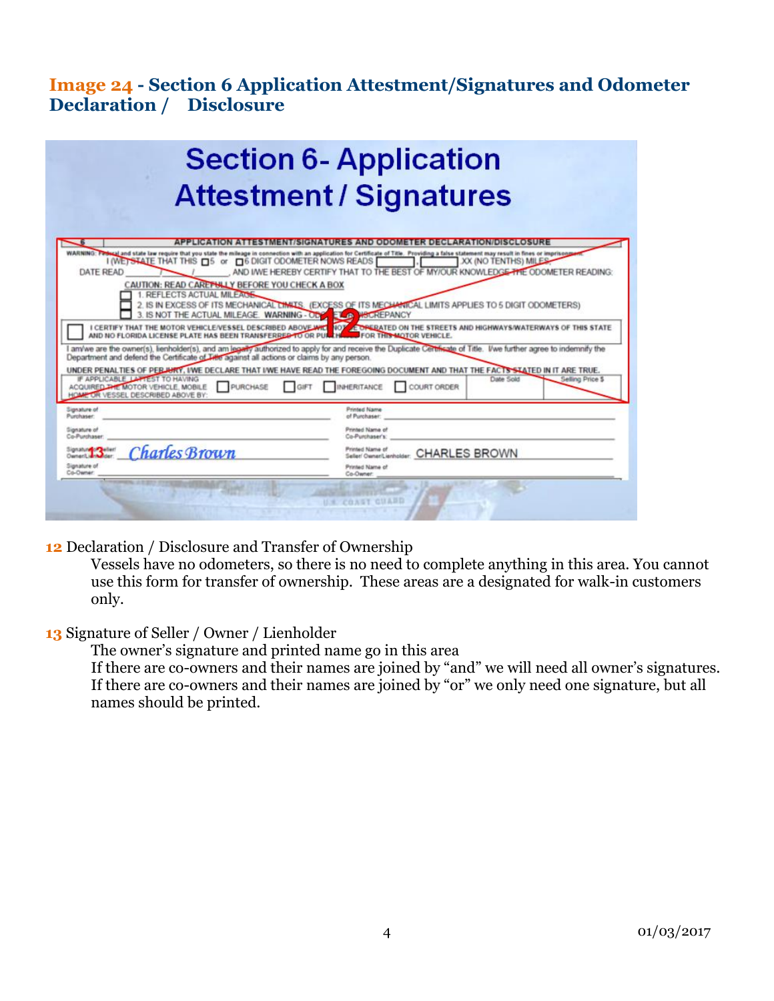### **Image 24 - Section 6 Application Attestment/Signatures and Odometer Declaration / Disclosure**

|                                                                                                                                                                                                                                                                    | <b>Section 6- Application</b><br><b>Attestment / Signatures</b>                                                                                                    |
|--------------------------------------------------------------------------------------------------------------------------------------------------------------------------------------------------------------------------------------------------------------------|--------------------------------------------------------------------------------------------------------------------------------------------------------------------|
|                                                                                                                                                                                                                                                                    | APPLICATION ATTESTMENT/SIGNATURES AND ODOMETER DECLARATION/DISCLOSURE                                                                                              |
| WARNING: Pedecal and state law require that you state the mileage in connection with an application for Certificate of Title. Providing a false statement may result in fines or imprisonment<br>I (WE) STATE THAT THIS <b>DESIGN CONTACT OD OMETER NOWS READS</b> | XX (NO TENTHS) MILES                                                                                                                                               |
| DATE READ                                                                                                                                                                                                                                                          | AND INVE HEREBY CERTIFY THAT TO THE BEST OF MY/OUR KNOWLEDGE THE ODOMETER READING                                                                                  |
| CAUTION: READ CAREFULLY BEFORE YOU CHECK A BOX                                                                                                                                                                                                                     |                                                                                                                                                                    |
| 1. REFLECTS ACTUAL MILEAGE                                                                                                                                                                                                                                         | 2. IS IN EXCESS OF ITS MECHANICAL LIMITS. (EXCESS OF ITS MECHANICAL LIMITS APPLIES TO 5 DIGIT ODOMETERS)                                                           |
| 3. IS NOT THE ACTUAL MILEAGE. WARNING - ODGE EXAMPLE REPANCY                                                                                                                                                                                                       |                                                                                                                                                                    |
|                                                                                                                                                                                                                                                                    | I CERTIFY THAT THE MOTOR VEHICLE/VESSEL DESCRIBED ABOVE WILL 103 FE OPERATED ON THE STREETS AND HIGHWAYS/WATERWAYS OF THIS STATE                                   |
| AND NO FLORIDA LICENSE PLATE HAS BEEN TRANSFERRED TO OR PUNITHERM FOR THIS MOTOR VEHICLE.                                                                                                                                                                          |                                                                                                                                                                    |
| Department and defend the Certificate of Title against all actions or claims by any person.                                                                                                                                                                        | I am/we are the owner(s), lienholder(s), and am legally authorized to apply for and receive the Duplicate Certificate of Title. Uwe further agree to indemnify the |
|                                                                                                                                                                                                                                                                    | UNDER PENALTIES OF PER WRY. IWE DECLARE THAT IWE HAVE READ THE FOREGOING DOCUMENT AND THAT THE FACTS STATED IN IT ARE TRUE.                                        |
| IF APPLICABLE LATTEST TO HAVING<br>PURCHASE<br>ACQUIRED THE MOTOR VEHICLE, MOBILE<br>OME OR VESSEL DESCRIBED ABOVE BY:                                                                                                                                             | Date Sold<br>Selling Price \$<br><b>INHERITANCE</b><br><b>COURT ORDER</b>                                                                                          |
| Signature of<br>Purchaser:                                                                                                                                                                                                                                         | Printed Name<br>of Purchaser                                                                                                                                       |
| Signature of<br>Co-Purchaser                                                                                                                                                                                                                                       | Printed Name of<br>Co-Purchaser's                                                                                                                                  |
| Charles Brown<br>Signature of Seller!<br>Owner/List Sider:                                                                                                                                                                                                         | Printed Name of<br>Seller/Owner/Lienholder: CHARLES BROWN                                                                                                          |
| Signature of<br>Co-Owner:                                                                                                                                                                                                                                          | Printed Name of<br>Co-Owner                                                                                                                                        |
|                                                                                                                                                                                                                                                                    |                                                                                                                                                                    |

#### **12** Declaration / Disclosure and Transfer of Ownership

Vessels have no odometers, so there is no need to complete anything in this area. You cannot use this form for transfer of ownership. These areas are a designated for walk-in customers only.

#### **13** Signature of Seller / Owner / Lienholder

The owner's signature and printed name go in this area

If there are co-owners and their names are joined by "and" we will need all owner's signatures. If there are co-owners and their names are joined by "or" we only need one signature, but all names should be printed.